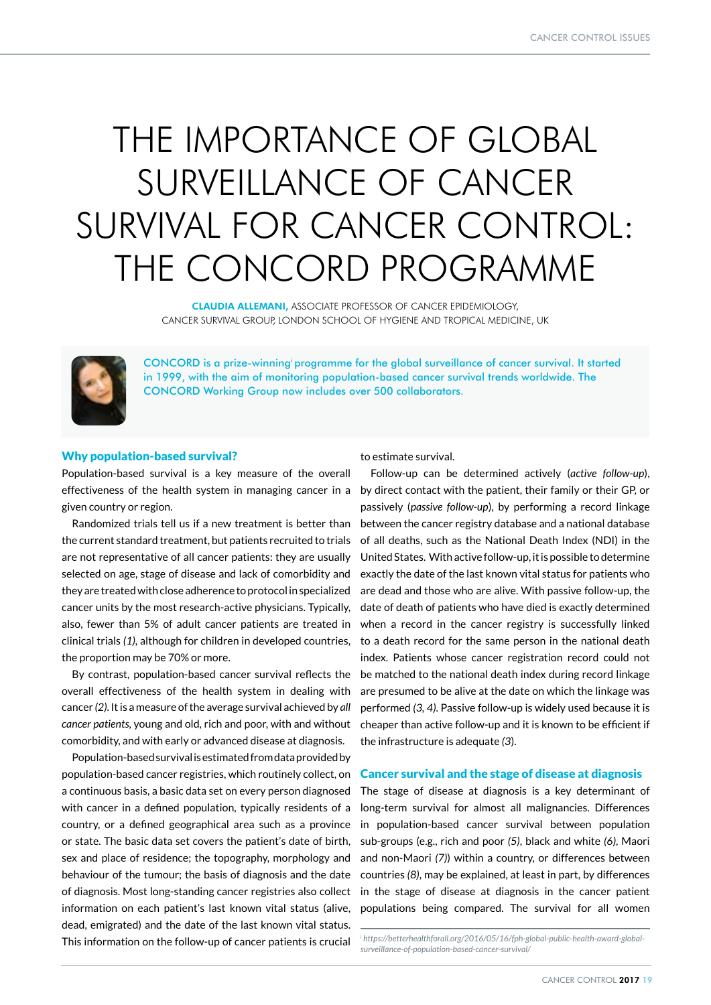# THE IMPORTANCE OF GLOBAL SURVEILLANCE OF CANCER SURVIVAL FOR CANCER CONTROL: THE CONCORD PROGRAMME

CLAUDIA ALLEMANI, ASSOCIATE PROFESSOR OF CANCER EPIDEMIOLOGY, CANCER SURVIVAL GROUP, LONDON SCHOOL OF HYGIENE AND TROPICAL MEDICINE, UK



CONCORD is a prize-winningi programme for the global surveillance of cancer survival. It started in 1999, with the aim of monitoring population-based cancer survival trends worldwide. The CONCORD Working Group now includes over 500 collaborators.

### Why population-based survival?

Population-based survival is a key measure of the overall given country or region.

Randomized trials tell us if a new treatment is better than the current standard treatment, but patients recruited to trials are not representative of all cancer patients: they are usually selected on age, stage of disease and lack of comorbidity and they are treated with close adherence to protocol in specialized cancer units by the most research-active physicians. Typically, also, fewer than 5% of adult cancer patients are treated in clinical trials *(1)*, although for children in developed countries, the proportion may be 70% or more.

By contrast, population-based cancer survival reflects the overall effectiveness of the health system in dealing with cancer *(2)*. It is a measure of the average survival achieved by *all cancer patients,* young and old, rich and poor, with and without comorbidity, and with early or advanced disease at diagnosis.

Population-based survival is estimated from data provided by population-based cancer registries, which routinely collect, on a continuous basis, a basic data set on every person diagnosed with cancer in a defined population, typically residents of a country, or a defined geographical area such as a province or state. The basic data set covers the patient's date of birth, sex and place of residence; the topography, morphology and behaviour of the tumour; the basis of diagnosis and the date of diagnosis. Most long-standing cancer registries also collect information on each patient's last known vital status (alive, dead, emigrated) and the date of the last known vital status. This information on the follow-up of cancer patients is crucial

to estimate survival.

effectiveness of the health system in managing cancer in a by direct contact with the patient, their family or their GP, or Follow-up can be determined actively (*active follow-up*), passively (*passive follow-up*), by performing a record linkage between the cancer registry database and a national database of all deaths, such as the National Death Index (NDI) in the United States. With active follow-up, it is possible to determine exactly the date of the last known vital status for patients who are dead and those who are alive. With passive follow-up, the date of death of patients who have died is exactly determined when a record in the cancer registry is successfully linked to a death record for the same person in the national death index. Patients whose cancer registration record could not be matched to the national death index during record linkage are presumed to be alive at the date on which the linkage was performed *(3, 4)*. Passive follow-up is widely used because it is cheaper than active follow-up and it is known to be efficient if the infrastructure is adequate *(3*).

### Cancer survival and the stage of disease at diagnosis

The stage of disease at diagnosis is a key determinant of long-term survival for almost all malignancies. Differences in population-based cancer survival between population sub-groups (e.g., rich and poor *(5)*, black and white *(6)*, Maori and non-Maori *(7)*) within a country, or differences between countries *(8)*, may be explained, at least in part, by differences in the stage of disease at diagnosis in the cancer patient populations being compared. The survival for all women

<sup>&</sup>lt;sup>i</sup>https://betterhealthforall.org/2016/05/16/fph-global-public-health-award-global*surveillance-of-population-based-cancer-survival/*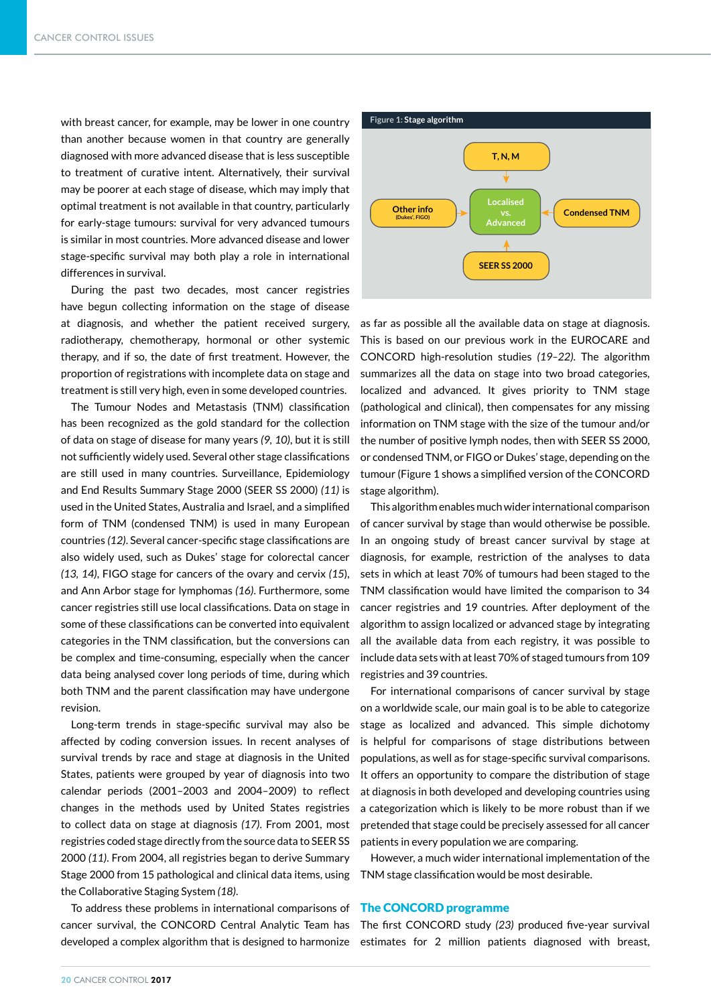with breast cancer, for example, may be lower in one country than another because women in that country are generally diagnosed with more advanced disease that is less susceptible to treatment of curative intent. Alternatively, their survival may be poorer at each stage of disease, which may imply that optimal treatment is not available in that country, particularly for early-stage tumours: survival for very advanced tumours is similar in most countries. More advanced disease and lower stage-specific survival may both play a role in international differences in survival.

During the past two decades, most cancer registries have begun collecting information on the stage of disease at diagnosis, and whether the patient received surgery, radiotherapy, chemotherapy, hormonal or other systemic therapy, and if so, the date of first treatment. However, the proportion of registrations with incomplete data on stage and treatment is still very high, even in some developed countries.

The Tumour Nodes and Metastasis (TNM) classification has been recognized as the gold standard for the collection of data on stage of disease for many years *(9, 10)*, but it is still not sufficiently widely used. Several other stage classifications are still used in many countries. Surveillance, Epidemiology and End Results Summary Stage 2000 (SEER SS 2000) *(11)* is used in the United States, Australia and Israel, and a simplified form of TNM (condensed TNM) is used in many European countries *(12)*. Several cancer-specific stage classifications are also widely used, such as Dukes' stage for colorectal cancer *(13, 14)*, FIGO stage for cancers of the ovary and cervix *(15*), and Ann Arbor stage for lymphomas *(16)*. Furthermore, some cancer registries still use local classifications. Data on stage in some of these classifications can be converted into equivalent categories in the TNM classification, but the conversions can be complex and time-consuming, especially when the cancer data being analysed cover long periods of time, during which both TNM and the parent classification may have undergone revision.

Long-term trends in stage-specific survival may also be affected by coding conversion issues. In recent analyses of survival trends by race and stage at diagnosis in the United States, patients were grouped by year of diagnosis into two calendar periods (2001–2003 and 2004–2009) to reflect changes in the methods used by United States registries to collect data on stage at diagnosis *(17)*. From 2001, most registries coded stage directly from the source data to SEER SS 2000 *(11)*. From 2004, all registries began to derive Summary Stage 2000 from 15 pathological and clinical data items, using the Collaborative Staging System *(18)*.

To address these problems in international comparisons of cancer survival, the CONCORD Central Analytic Team has



as far as possible all the available data on stage at diagnosis. This is based on our previous work in the EUROCARE and CONCORD high-resolution studies *(19–22)*. The algorithm summarizes all the data on stage into two broad categories, localized and advanced. It gives priority to TNM stage (pathological and clinical), then compensates for any missing information on TNM stage with the size of the tumour and/or the number of positive lymph nodes, then with SEER SS 2000, or condensed TNM, or FIGO or Dukes' stage, depending on the tumour (Figure 1 shows a simplified version of the CONCORD stage algorithm).

This algorithm enables much wider international comparison of cancer survival by stage than would otherwise be possible. In an ongoing study of breast cancer survival by stage at diagnosis, for example, restriction of the analyses to data sets in which at least 70% of tumours had been staged to the TNM classification would have limited the comparison to 34 cancer registries and 19 countries. After deployment of the algorithm to assign localized or advanced stage by integrating all the available data from each registry, it was possible to include data sets with at least 70% of staged tumours from 109 registries and 39 countries.

For international comparisons of cancer survival by stage on a worldwide scale, our main goal is to be able to categorize stage as localized and advanced. This simple dichotomy is helpful for comparisons of stage distributions between populations, as well as for stage-specific survival comparisons. It offers an opportunity to compare the distribution of stage at diagnosis in both developed and developing countries using a categorization which is likely to be more robust than if we pretended that stage could be precisely assessed for all cancer patients in every population we are comparing.

However, a much wider international implementation of the TNM stage classification would be most desirable.

## The CONCORD programme

developed a complex algorithm that is designed to harmonize estimates for 2 million patients diagnosed with breast, The first CONCORD study *(23)* produced five-year survival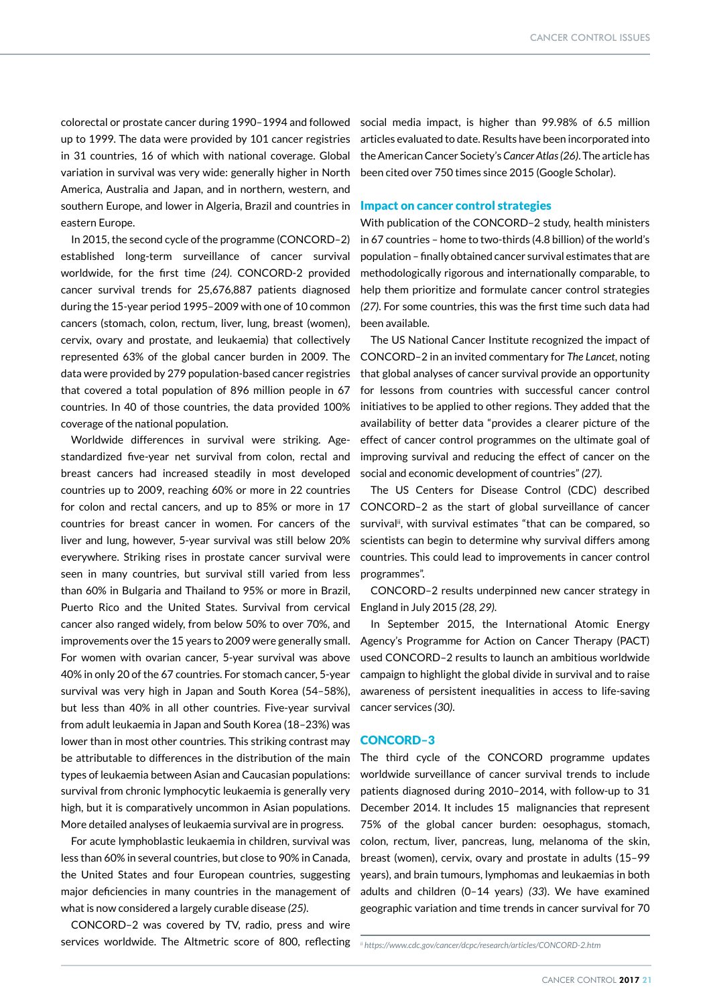southern Europe, and lower in Algeria, Brazil and countries in **Impact on cancer control strategies** colorectal or prostate cancer during 1990–1994 and followed up to 1999. The data were provided by 101 cancer registries in 31 countries, 16 of which with national coverage. Global variation in survival was very wide: generally higher in North America, Australia and Japan, and in northern, western, and eastern Europe.

In 2015, the second cycle of the programme (CONCORD–2) established long-term surveillance of cancer survival worldwide, for the first time *(24)*. CONCORD-2 provided cancer survival trends for 25,676,887 patients diagnosed during the 15-year period 1995–2009 with one of 10 common cancers (stomach, colon, rectum, liver, lung, breast (women), cervix, ovary and prostate, and leukaemia) that collectively represented 63% of the global cancer burden in 2009. The data were provided by 279 population-based cancer registries that covered a total population of 896 million people in 67 countries. In 40 of those countries, the data provided 100% coverage of the national population.

Worldwide differences in survival were striking. Agestandardized five-year net survival from colon, rectal and breast cancers had increased steadily in most developed countries up to 2009, reaching 60% or more in 22 countries for colon and rectal cancers, and up to 85% or more in 17 countries for breast cancer in women. For cancers of the liver and lung, however, 5-year survival was still below 20% everywhere. Striking rises in prostate cancer survival were seen in many countries, but survival still varied from less than 60% in Bulgaria and Thailand to 95% or more in Brazil, Puerto Rico and the United States. Survival from cervical cancer also ranged widely, from below 50% to over 70%, and improvements over the 15 years to 2009 were generally small. For women with ovarian cancer, 5-year survival was above 40% in only 20 of the 67 countries. For stomach cancer, 5-year survival was very high in Japan and South Korea (54–58%), but less than 40% in all other countries. Five-year survival from adult leukaemia in Japan and South Korea (18–23%) was lower than in most other countries. This striking contrast may be attributable to differences in the distribution of the main types of leukaemia between Asian and Caucasian populations: survival from chronic lymphocytic leukaemia is generally very high, but it is comparatively uncommon in Asian populations. More detailed analyses of leukaemia survival are in progress.

For acute lymphoblastic leukaemia in children, survival was less than 60% in several countries, but close to 90% in Canada, the United States and four European countries, suggesting major deficiencies in many countries in the management of what is now considered a largely curable disease *(25)*.

CONCORD–2 was covered by TV, radio, press and wire services worldwide. The Altmetric score of 800, reflecting *ii https://www.cdc.gov/cancer/dcpc/research/articles/CONCORD-2.htm*

social media impact, is higher than 99.98% of 6.5 million articles evaluated to date. Results have been incorporated into the American Cancer Society's *Cancer Atlas (26)*. The article has been cited over 750 times since 2015 (Google Scholar).

With publication of the CONCORD–2 study, health ministers in 67 countries – home to two-thirds (4.8 billion) of the world's population – finally obtained cancer survival estimates that are methodologically rigorous and internationally comparable, to help them prioritize and formulate cancer control strategies *(27)*. For some countries, this was the first time such data had been available.

The US National Cancer Institute recognized the impact of CONCORD–2 in an invited commentary for *The Lancet*, noting that global analyses of cancer survival provide an opportunity for lessons from countries with successful cancer control initiatives to be applied to other regions. They added that the availability of better data "provides a clearer picture of the effect of cancer control programmes on the ultimate goal of improving survival and reducing the effect of cancer on the social and economic development of countries" *(27)*.

The US Centers for Disease Control (CDC) described CONCORD–2 as the start of global surveillance of cancer survival<sup>ii</sup>, with survival estimates "that can be compared, so scientists can begin to determine why survival differs among countries. This could lead to improvements in cancer control programmes".

CONCORD–2 results underpinned new cancer strategy in England in July 2015 *(28, 29)*.

In September 2015, the International Atomic Energy Agency's Programme for Action on Cancer Therapy (PACT) used CONCORD–2 results to launch an ambitious worldwide campaign to highlight the global divide in survival and to raise awareness of persistent inequalities in access to life-saving cancer services *(30)*.

### CONCORD–3

The third cycle of the CONCORD programme updates worldwide surveillance of cancer survival trends to include patients diagnosed during 2010–2014, with follow-up to 31 December 2014. It includes 15 malignancies that represent 75% of the global cancer burden: oesophagus, stomach, colon, rectum, liver, pancreas, lung, melanoma of the skin, breast (women), cervix, ovary and prostate in adults (15–99 years), and brain tumours, lymphomas and leukaemias in both adults and children (0–14 years) *(33*). We have examined geographic variation and time trends in cancer survival for 70